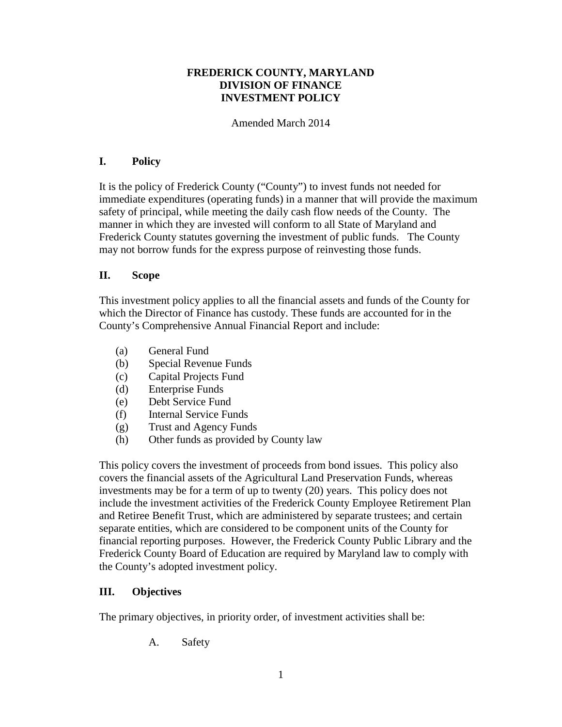# **FREDERICK COUNTY, MARYLAND DIVISION OF FINANCE INVESTMENT POLICY**

Amended March 2014

# **I. Policy**

It is the policy of Frederick County ("County") to invest funds not needed for immediate expenditures (operating funds) in a manner that will provide the maximum safety of principal, while meeting the daily cash flow needs of the County. The manner in which they are invested will conform to all State of Maryland and Frederick County statutes governing the investment of public funds. The County may not borrow funds for the express purpose of reinvesting those funds.

## **II. Scope**

This investment policy applies to all the financial assets and funds of the County for which the Director of Finance has custody. These funds are accounted for in the County's Comprehensive Annual Financial Report and include:

- (a) General Fund
- (b) Special Revenue Funds
- (c) Capital Projects Fund
- (d) Enterprise Funds
- (e) Debt Service Fund
- (f) Internal Service Funds
- (g) Trust and Agency Funds
- (h) Other funds as provided by County law

This policy covers the investment of proceeds from bond issues. This policy also covers the financial assets of the Agricultural Land Preservation Funds, whereas investments may be for a term of up to twenty (20) years. This policy does not include the investment activities of the Frederick County Employee Retirement Plan and Retiree Benefit Trust, which are administered by separate trustees; and certain separate entities, which are considered to be component units of the County for financial reporting purposes. However, the Frederick County Public Library and the Frederick County Board of Education are required by Maryland law to comply with the County's adopted investment policy.

# **III. Objectives**

The primary objectives, in priority order, of investment activities shall be:

A. Safety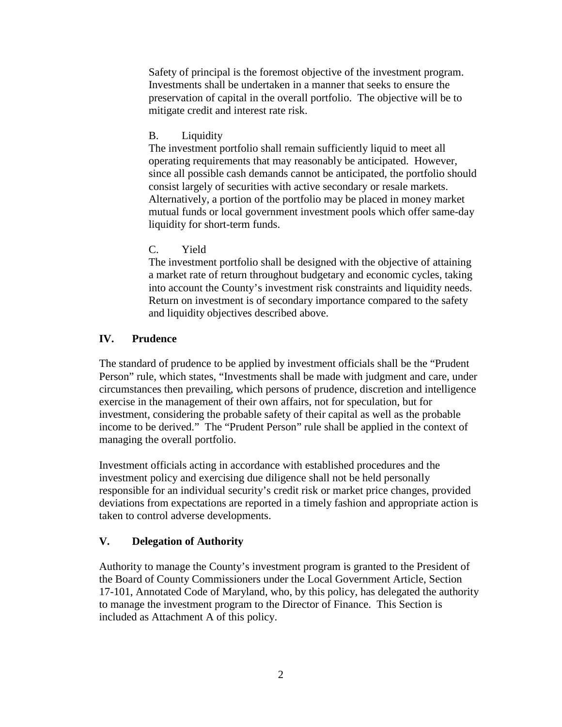Safety of principal is the foremost objective of the investment program. Investments shall be undertaken in a manner that seeks to ensure the preservation of capital in the overall portfolio. The objective will be to mitigate credit and interest rate risk.

# B. Liquidity

The investment portfolio shall remain sufficiently liquid to meet all operating requirements that may reasonably be anticipated. However, since all possible cash demands cannot be anticipated, the portfolio should consist largely of securities with active secondary or resale markets. Alternatively, a portion of the portfolio may be placed in money market mutual funds or local government investment pools which offer same-day liquidity for short-term funds.

# C. Yield

The investment portfolio shall be designed with the objective of attaining a market rate of return throughout budgetary and economic cycles, taking into account the County's investment risk constraints and liquidity needs. Return on investment is of secondary importance compared to the safety and liquidity objectives described above.

# **IV. Prudence**

The standard of prudence to be applied by investment officials shall be the "Prudent Person" rule, which states, "Investments shall be made with judgment and care, under circumstances then prevailing, which persons of prudence, discretion and intelligence exercise in the management of their own affairs, not for speculation, but for investment, considering the probable safety of their capital as well as the probable income to be derived." The "Prudent Person" rule shall be applied in the context of managing the overall portfolio.

Investment officials acting in accordance with established procedures and the investment policy and exercising due diligence shall not be held personally responsible for an individual security's credit risk or market price changes, provided deviations from expectations are reported in a timely fashion and appropriate action is taken to control adverse developments.

# **V. Delegation of Authority**

Authority to manage the County's investment program is granted to the President of the Board of County Commissioners under the Local Government Article, Section 17-101, Annotated Code of Maryland, who, by this policy, has delegated the authority to manage the investment program to the Director of Finance. This Section is included as Attachment A of this policy.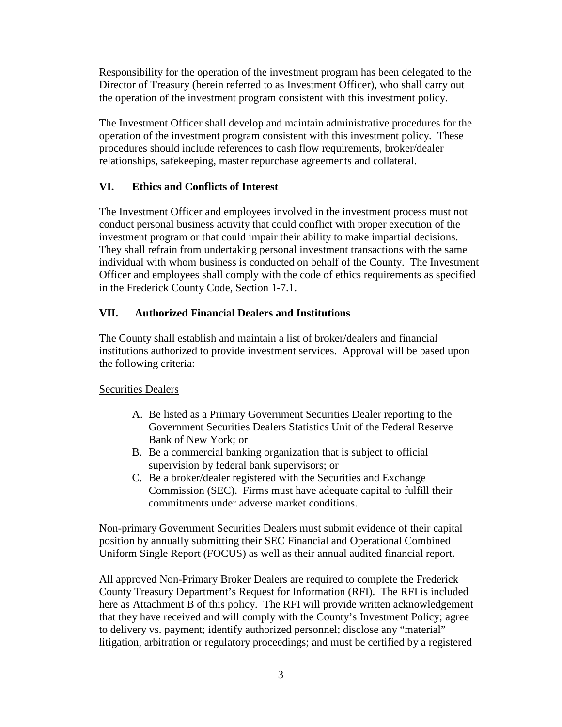Responsibility for the operation of the investment program has been delegated to the Director of Treasury (herein referred to as Investment Officer), who shall carry out the operation of the investment program consistent with this investment policy.

The Investment Officer shall develop and maintain administrative procedures for the operation of the investment program consistent with this investment policy. These procedures should include references to cash flow requirements, broker/dealer relationships, safekeeping, master repurchase agreements and collateral.

# **VI. Ethics and Conflicts of Interest**

The Investment Officer and employees involved in the investment process must not conduct personal business activity that could conflict with proper execution of the investment program or that could impair their ability to make impartial decisions. They shall refrain from undertaking personal investment transactions with the same individual with whom business is conducted on behalf of the County. The Investment Officer and employees shall comply with the code of ethics requirements as specified in the Frederick County Code, Section 1-7.1.

# **VII. Authorized Financial Dealers and Institutions**

The County shall establish and maintain a list of broker/dealers and financial institutions authorized to provide investment services. Approval will be based upon the following criteria:

# Securities Dealers

- A. Be listed as a Primary Government Securities Dealer reporting to the Government Securities Dealers Statistics Unit of the Federal Reserve Bank of New York; or
- B. Be a commercial banking organization that is subject to official supervision by federal bank supervisors; or
- C. Be a broker/dealer registered with the Securities and Exchange Commission (SEC). Firms must have adequate capital to fulfill their commitments under adverse market conditions.

Non-primary Government Securities Dealers must submit evidence of their capital position by annually submitting their SEC Financial and Operational Combined Uniform Single Report (FOCUS) as well as their annual audited financial report.

All approved Non-Primary Broker Dealers are required to complete the Frederick County Treasury Department's Request for Information (RFI). The RFI is included here as Attachment B of this policy. The RFI will provide written acknowledgement that they have received and will comply with the County's Investment Policy; agree to delivery vs. payment; identify authorized personnel; disclose any "material" litigation, arbitration or regulatory proceedings; and must be certified by a registered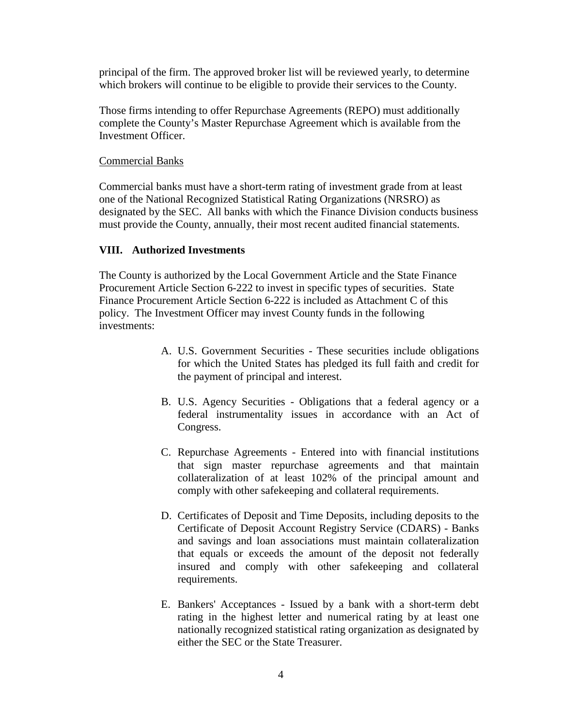principal of the firm. The approved broker list will be reviewed yearly, to determine which brokers will continue to be eligible to provide their services to the County.

Those firms intending to offer Repurchase Agreements (REPO) must additionally complete the County's Master Repurchase Agreement which is available from the Investment Officer.

## Commercial Banks

Commercial banks must have a short-term rating of investment grade from at least one of the National Recognized Statistical Rating Organizations (NRSRO) as designated by the SEC. All banks with which the Finance Division conducts business must provide the County, annually, their most recent audited financial statements.

# **VIII. Authorized Investments**

The County is authorized by the Local Government Article and the State Finance Procurement Article Section 6-222 to invest in specific types of securities. State Finance Procurement Article Section 6-222 is included as Attachment C of this policy. The Investment Officer may invest County funds in the following investments:

- A. U.S. Government Securities These securities include obligations for which the United States has pledged its full faith and credit for the payment of principal and interest.
- B. U.S. Agency Securities Obligations that a federal agency or a federal instrumentality issues in accordance with an Act of Congress.
- C. Repurchase Agreements Entered into with financial institutions that sign master repurchase agreements and that maintain collateralization of at least 102% of the principal amount and comply with other safekeeping and collateral requirements.
- D. Certificates of Deposit and Time Deposits, including deposits to the Certificate of Deposit Account Registry Service (CDARS) - Banks and savings and loan associations must maintain collateralization that equals or exceeds the amount of the deposit not federally insured and comply with other safekeeping and collateral requirements.
- E. Bankers' Acceptances Issued by a bank with a short-term debt rating in the highest letter and numerical rating by at least one nationally recognized statistical rating organization as designated by either the SEC or the State Treasurer.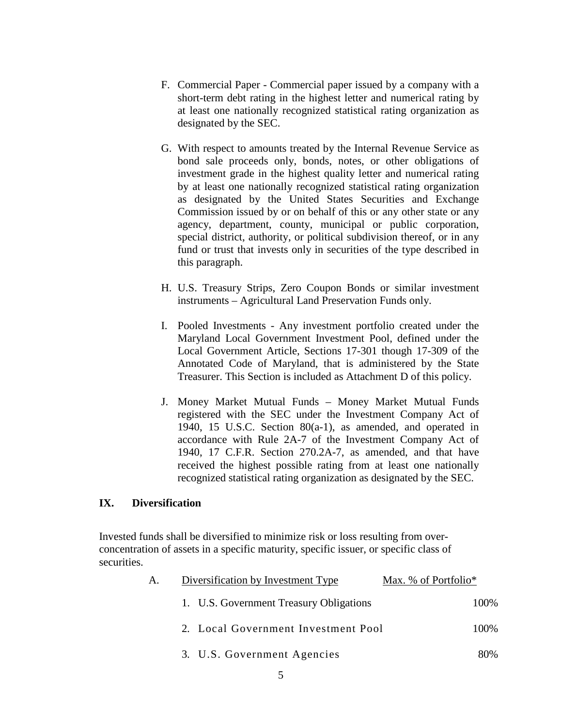- F. Commercial Paper Commercial paper issued by a company with a short-term debt rating in the highest letter and numerical rating by at least one nationally recognized statistical rating organization as designated by the SEC.
- G. With respect to amounts treated by the Internal Revenue Service as bond sale proceeds only, bonds, notes, or other obligations of investment grade in the highest quality letter and numerical rating by at least one nationally recognized statistical rating organization as designated by the United States Securities and Exchange Commission issued by or on behalf of this or any other state or any agency, department, county, municipal or public corporation, special district, authority, or political subdivision thereof, or in any fund or trust that invests only in securities of the type described in this paragraph.
- H. U.S. Treasury Strips, Zero Coupon Bonds or similar investment instruments – Agricultural Land Preservation Funds only.
- I. Pooled Investments Any investment portfolio created under the Maryland Local Government Investment Pool, defined under the Local Government Article, Sections 17-301 though 17-309 of the Annotated Code of Maryland, that is administered by the State Treasurer. This Section is included as Attachment D of this policy.
- J. Money Market Mutual Funds Money Market Mutual Funds registered with the SEC under the Investment Company Act of 1940, 15 U.S.C. Section 80(a-1), as amended, and operated in accordance with Rule 2A-7 of the Investment Company Act of 1940, 17 C.F.R. Section 270.2A-7, as amended, and that have received the highest possible rating from at least one nationally recognized statistical rating organization as designated by the SEC.

## **IX. Diversification**

Invested funds shall be diversified to minimize risk or loss resulting from overconcentration of assets in a specific maturity, specific issuer, or specific class of securities.

| А. | Diversification by Investment Type      | Max. % of Portfolio* |
|----|-----------------------------------------|----------------------|
|    | 1. U.S. Government Treasury Obligations | 100\%                |
|    | 2. Local Government Investment Pool     | 100\%                |
|    | 3. U.S. Government Agencies             | 80%                  |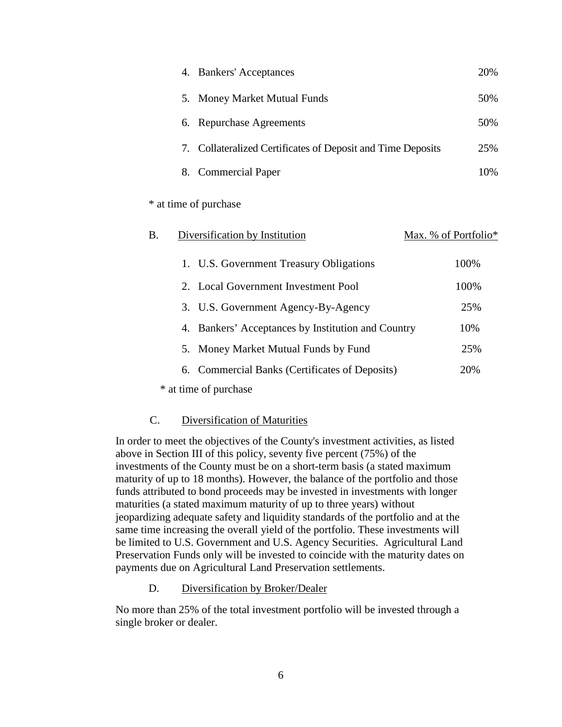| 4. Bankers' Acceptances                                     | 20% |
|-------------------------------------------------------------|-----|
| 5. Money Market Mutual Funds                                | 50% |
| 6. Repurchase Agreements                                    | 50% |
| 7. Collateralized Certificates of Deposit and Time Deposits | 25% |
| 8. Commercial Paper                                         | 10% |

\* at time of purchase

| Β. | Diversification by Institution                     | Max. % of Portfolio* |  |
|----|----------------------------------------------------|----------------------|--|
|    | 1. U.S. Government Treasury Obligations            | 100%                 |  |
|    | 2. Local Government Investment Pool                | 100%                 |  |
|    | 3. U.S. Government Agency-By-Agency                | 25%                  |  |
|    | 4. Bankers' Acceptances by Institution and Country | 10%                  |  |
|    | 5. Money Market Mutual Funds by Fund               | 25%                  |  |
|    | 6. Commercial Banks (Certificates of Deposits)     | 20%                  |  |
|    | * at time of purchase                              |                      |  |

## C. Diversification of Maturities

In order to meet the objectives of the County's investment activities, as listed above in Section III of this policy, seventy five percent (75%) of the investments of the County must be on a short-term basis (a stated maximum maturity of up to 18 months). However, the balance of the portfolio and those funds attributed to bond proceeds may be invested in investments with longer maturities (a stated maximum maturity of up to three years) without jeopardizing adequate safety and liquidity standards of the portfolio and at the same time increasing the overall yield of the portfolio. These investments will be limited to U.S. Government and U.S. Agency Securities. Agricultural Land Preservation Funds only will be invested to coincide with the maturity dates on payments due on Agricultural Land Preservation settlements.

D. Diversification by Broker/Dealer

No more than 25% of the total investment portfolio will be invested through a single broker or dealer.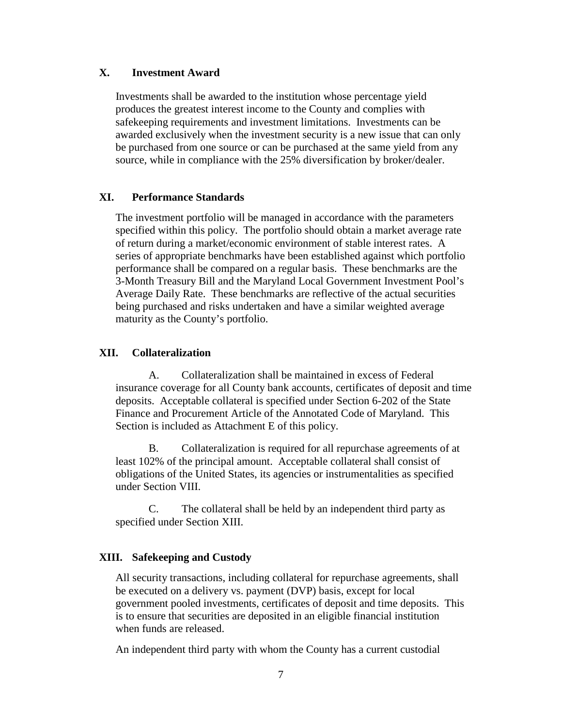## **X. Investment Award**

Investments shall be awarded to the institution whose percentage yield produces the greatest interest income to the County and complies with safekeeping requirements and investment limitations. Investments can be awarded exclusively when the investment security is a new issue that can only be purchased from one source or can be purchased at the same yield from any source, while in compliance with the 25% diversification by broker/dealer.

## **XI. Performance Standards**

The investment portfolio will be managed in accordance with the parameters specified within this policy. The portfolio should obtain a market average rate of return during a market/economic environment of stable interest rates. A series of appropriate benchmarks have been established against which portfolio performance shall be compared on a regular basis. These benchmarks are the 3-Month Treasury Bill and the Maryland Local Government Investment Pool's Average Daily Rate. These benchmarks are reflective of the actual securities being purchased and risks undertaken and have a similar weighted average maturity as the County's portfolio.

## **XII. Collateralization**

A. Collateralization shall be maintained in excess of Federal insurance coverage for all County bank accounts, certificates of deposit and time deposits. Acceptable collateral is specified under Section 6-202 of the State Finance and Procurement Article of the Annotated Code of Maryland. This Section is included as Attachment E of this policy.

B. Collateralization is required for all repurchase agreements of at least 102% of the principal amount. Acceptable collateral shall consist of obligations of the United States, its agencies or instrumentalities as specified under Section VIII.

C. The collateral shall be held by an independent third party as specified under Section XIII.

## **XIII. Safekeeping and Custody**

All security transactions, including collateral for repurchase agreements, shall be executed on a delivery vs. payment (DVP) basis, except for local government pooled investments, certificates of deposit and time deposits. This is to ensure that securities are deposited in an eligible financial institution when funds are released.

An independent third party with whom the County has a current custodial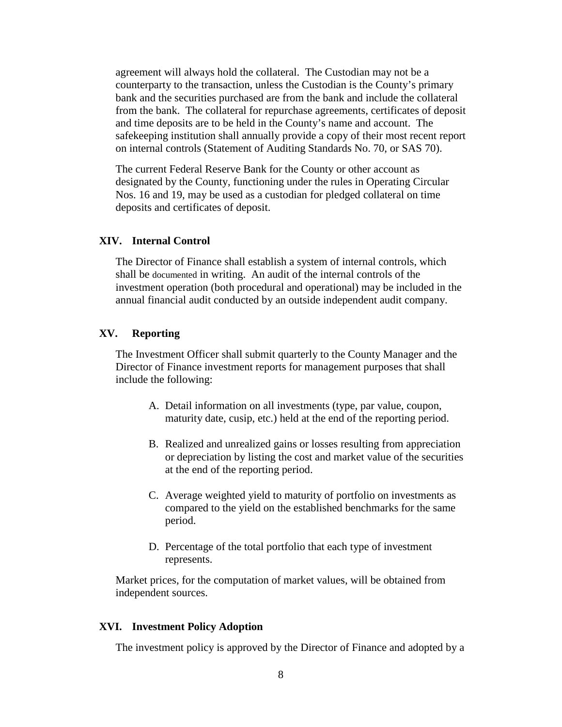agreement will always hold the collateral. The Custodian may not be a counterparty to the transaction, unless the Custodian is the County's primary bank and the securities purchased are from the bank and include the collateral from the bank. The collateral for repurchase agreements, certificates of deposit and time deposits are to be held in the County's name and account. The safekeeping institution shall annually provide a copy of their most recent report on internal controls (Statement of Auditing Standards No. 70, or SAS 70).

The current Federal Reserve Bank for the County or other account as designated by the County, functioning under the rules in Operating Circular Nos. 16 and 19, may be used as a custodian for pledged collateral on time deposits and certificates of deposit.

## **XIV. Internal Control**

The Director of Finance shall establish a system of internal controls, which shall be documented in writing. An audit of the internal controls of the investment operation (both procedural and operational) may be included in the annual financial audit conducted by an outside independent audit company.

### **XV. Reporting**

The Investment Officer shall submit quarterly to the County Manager and the Director of Finance investment reports for management purposes that shall include the following:

- A. Detail information on all investments (type, par value, coupon, maturity date, cusip, etc.) held at the end of the reporting period.
- B. Realized and unrealized gains or losses resulting from appreciation or depreciation by listing the cost and market value of the securities at the end of the reporting period.
- C. Average weighted yield to maturity of portfolio on investments as compared to the yield on the established benchmarks for the same period.
- D. Percentage of the total portfolio that each type of investment represents.

Market prices, for the computation of market values, will be obtained from independent sources.

## **XVI. Investment Policy Adoption**

The investment policy is approved by the Director of Finance and adopted by a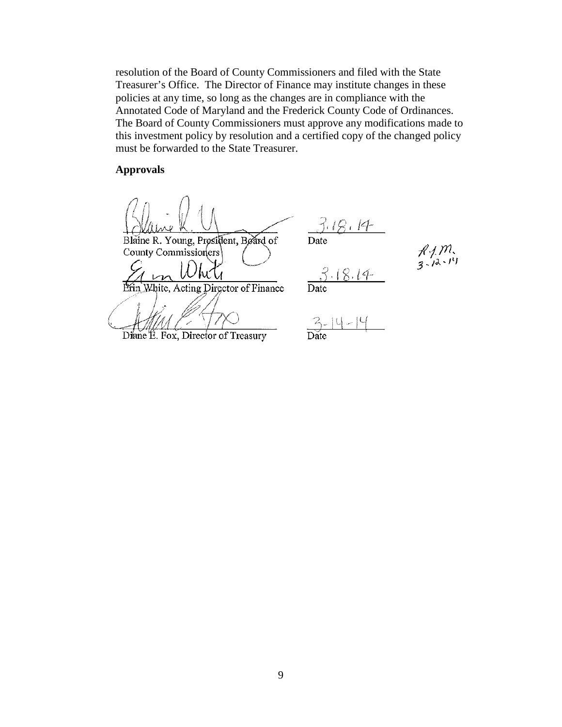resolution of the Board of County Commissioners and filed with the State Treasurer's Office. The Director of Finance may institute changes in these policies at any time, so long as the changes are in compliance with the Annotated Code of Maryland and the Frederick County Code of Ordinances. The Board of County Commissioners must approve any modifications made to this investment policy by resolution and a certified copy of the changed policy must be forwarded to the State Treasurer.

### **Approvals**

Blaine R. Young, President, Beard of County Commissioners Acting Director of Finance

Diane E. Fox, Director of Treasury

J. 18. 14 Date

 $.18.14$ 

 $\frac{1}{3}$   $\frac{1}{4}$   $\frac{1}{4}$ 

 $\overrightarrow{\text{Date}}$ 

9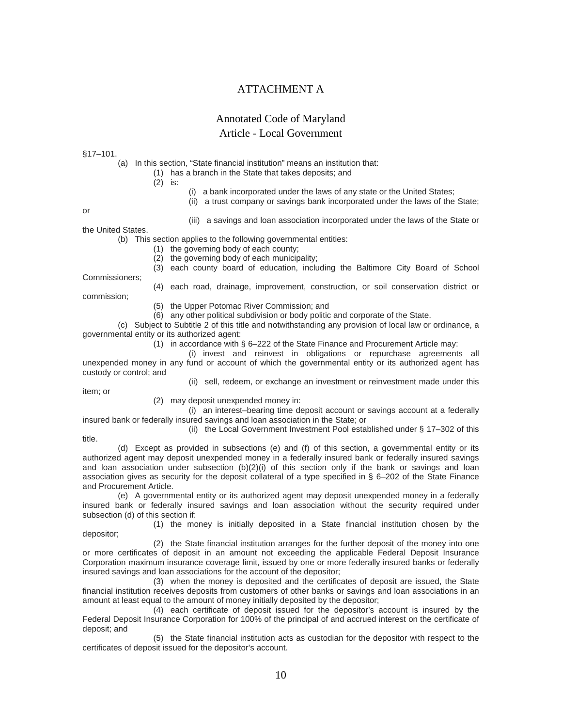## ATTACHMENT A

### Annotated Code of Maryland

#### Article - Local Government

§17–101.

(a) In this section, "State financial institution" means an institution that:

(1) has a branch in the State that takes deposits; and

(2) is:

- (i) a bank incorporated under the laws of any state or the United States;
- (ii) a trust company or savings bank incorporated under the laws of the State;

or

(iii) a savings and loan association incorporated under the laws of the State or

the United States.

(b) This section applies to the following governmental entities:

(1) the governing body of each county;

(2) the governing body of each municipality;

(3) each county board of education, including the Baltimore City Board of School Commissioners;

commission;

(4) each road, drainage, improvement, construction, or soil conservation district or

- (5) the Upper Potomac River Commission; and
- (6) any other political subdivision or body politic and corporate of the State.

(c) Subject to Subtitle 2 of this title and notwithstanding any provision of local law or ordinance, a governmental entity or its authorized agent:

(1) in accordance with  $\S 6-222$  of the State Finance and Procurement Article may:

(i) invest and reinvest in obligations or repurchase agreements all unexpended money in any fund or account of which the governmental entity or its authorized agent has custody or control; and

item; or

(ii) sell, redeem, or exchange an investment or reinvestment made under this

(2) may deposit unexpended money in:

(i) an interest–bearing time deposit account or savings account at a federally insured bank or federally insured savings and loan association in the State; or

(ii) the Local Government Investment Pool established under § 17–302 of this

title.

(d) Except as provided in subsections (e) and (f) of this section, a governmental entity or its authorized agent may deposit unexpended money in a federally insured bank or federally insured savings and loan association under subsection  $(b)(2)(i)$  of this section only if the bank or savings and loan association gives as security for the deposit collateral of a type specified in § 6–202 of the State Finance and Procurement Article.

(e) A governmental entity or its authorized agent may deposit unexpended money in a federally insured bank or federally insured savings and loan association without the security required under subsection (d) of this section if:

(1) the money is initially deposited in a State financial institution chosen by the depositor;

(2) the State financial institution arranges for the further deposit of the money into one or more certificates of deposit in an amount not exceeding the applicable Federal Deposit Insurance Corporation maximum insurance coverage limit, issued by one or more federally insured banks or federally insured savings and loan associations for the account of the depositor;

(3) when the money is deposited and the certificates of deposit are issued, the State financial institution receives deposits from customers of other banks or savings and loan associations in an amount at least equal to the amount of money initially deposited by the depositor;

(4) each certificate of deposit issued for the depositor's account is insured by the Federal Deposit Insurance Corporation for 100% of the principal of and accrued interest on the certificate of deposit; and

(5) the State financial institution acts as custodian for the depositor with respect to the certificates of deposit issued for the depositor's account.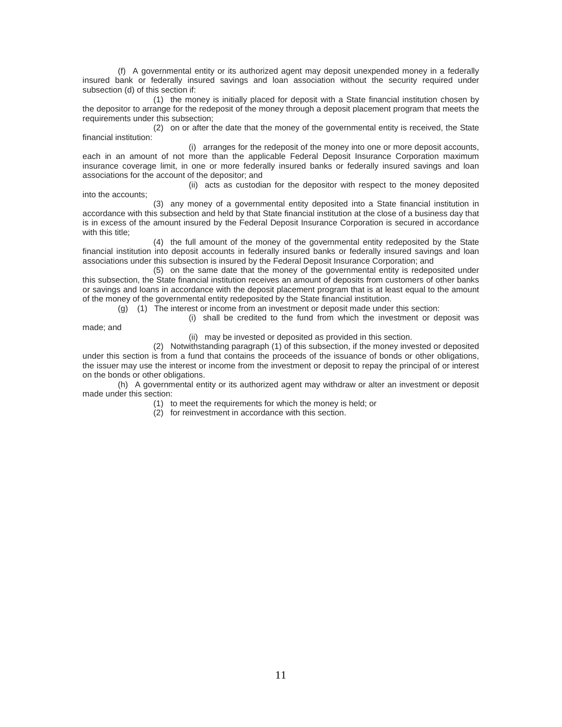(f) A governmental entity or its authorized agent may deposit unexpended money in a federally insured bank or federally insured savings and loan association without the security required under subsection (d) of this section if:

(1) the money is initially placed for deposit with a State financial institution chosen by the depositor to arrange for the redeposit of the money through a deposit placement program that meets the requirements under this subsection;

(2) on or after the date that the money of the governmental entity is received, the State financial institution:

(i) arranges for the redeposit of the money into one or more deposit accounts, each in an amount of not more than the applicable Federal Deposit Insurance Corporation maximum insurance coverage limit, in one or more federally insured banks or federally insured savings and loan associations for the account of the depositor; and

(ii) acts as custodian for the depositor with respect to the money deposited into the accounts;

(3) any money of a governmental entity deposited into a State financial institution in accordance with this subsection and held by that State financial institution at the close of a business day that is in excess of the amount insured by the Federal Deposit Insurance Corporation is secured in accordance with this title;

(4) the full amount of the money of the governmental entity redeposited by the State financial institution into deposit accounts in federally insured banks or federally insured savings and loan associations under this subsection is insured by the Federal Deposit Insurance Corporation; and

(5) on the same date that the money of the governmental entity is redeposited under this subsection, the State financial institution receives an amount of deposits from customers of other banks or savings and loans in accordance with the deposit placement program that is at least equal to the amount of the money of the governmental entity redeposited by the State financial institution.

(g) (1) The interest or income from an investment or deposit made under this section:

(i) shall be credited to the fund from which the investment or deposit was

made; and

(ii) may be invested or deposited as provided in this section.

(2) Notwithstanding paragraph (1) of this subsection, if the money invested or deposited under this section is from a fund that contains the proceeds of the issuance of bonds or other obligations, the issuer may use the interest or income from the investment or deposit to repay the principal of or interest on the bonds or other obligations.

(h) A governmental entity or its authorized agent may withdraw or alter an investment or deposit made under this section:

(1) to meet the requirements for which the money is held; or

(2) for reinvestment in accordance with this section.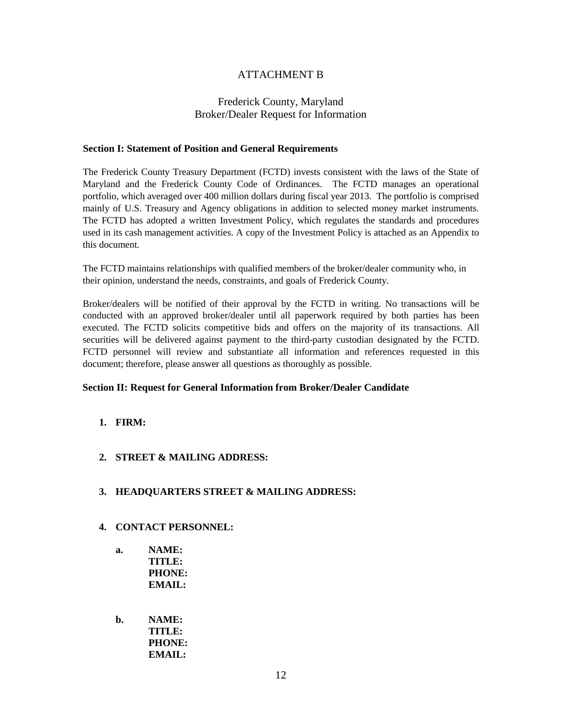## ATTACHMENT B

## Frederick County, Maryland Broker/Dealer Request for Information

#### **Section I: Statement of Position and General Requirements**

The Frederick County Treasury Department (FCTD) invests consistent with the laws of the State of Maryland and the Frederick County Code of Ordinances. The FCTD manages an operational portfolio, which averaged over 400 million dollars during fiscal year 2013. The portfolio is comprised mainly of U.S. Treasury and Agency obligations in addition to selected money market instruments. The FCTD has adopted a written Investment Policy, which regulates the standards and procedures used in its cash management activities. A copy of the Investment Policy is attached as an Appendix to this document.

The FCTD maintains relationships with qualified members of the broker/dealer community who, in their opinion, understand the needs, constraints, and goals of Frederick County.

Broker/dealers will be notified of their approval by the FCTD in writing. No transactions will be conducted with an approved broker/dealer until all paperwork required by both parties has been executed. The FCTD solicits competitive bids and offers on the majority of its transactions. All securities will be delivered against payment to the third-party custodian designated by the FCTD. FCTD personnel will review and substantiate all information and references requested in this document; therefore, please answer all questions as thoroughly as possible.

#### **Section II: Request for General Information from Broker/Dealer Candidate**

- **1. FIRM:**
- **2. STREET & MAILING ADDRESS:**

#### **3. HEADQUARTERS STREET & MAILING ADDRESS:**

- **4. CONTACT PERSONNEL:**
	- **a. NAME: TITLE: PHONE: EMAIL:**
	- **b. NAME: TITLE: PHONE: EMAIL:**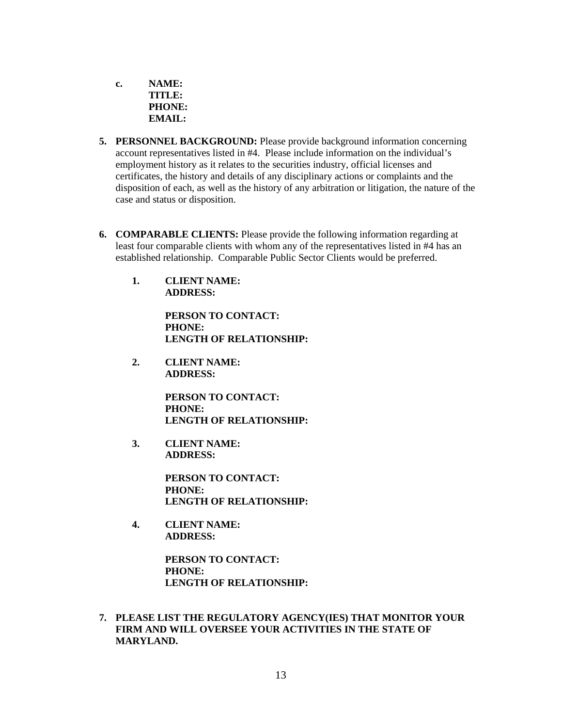**c. NAME: TITLE: PHONE: EMAIL:**

- **5. PERSONNEL BACKGROUND:** Please provide background information concerning account representatives listed in #4. Please include information on the individual's employment history as it relates to the securities industry, official licenses and certificates, the history and details of any disciplinary actions or complaints and the disposition of each, as well as the history of any arbitration or litigation, the nature of the case and status or disposition.
- **6. COMPARABLE CLIENTS:** Please provide the following information regarding at least four comparable clients with whom any of the representatives listed in #4 has an established relationship. Comparable Public Sector Clients would be preferred.
	- **1. CLIENT NAME: ADDRESS:**

**PERSON TO CONTACT: PHONE: LENGTH OF RELATIONSHIP:**

**2. CLIENT NAME: ADDRESS:**

> **PERSON TO CONTACT: PHONE: LENGTH OF RELATIONSHIP:**

**3. CLIENT NAME: ADDRESS:**

> **PERSON TO CONTACT: PHONE: LENGTH OF RELATIONSHIP:**

**4. CLIENT NAME: ADDRESS:**

> **PERSON TO CONTACT: PHONE: LENGTH OF RELATIONSHIP:**

**7. PLEASE LIST THE REGULATORY AGENCY(IES) THAT MONITOR YOUR FIRM AND WILL OVERSEE YOUR ACTIVITIES IN THE STATE OF MARYLAND.**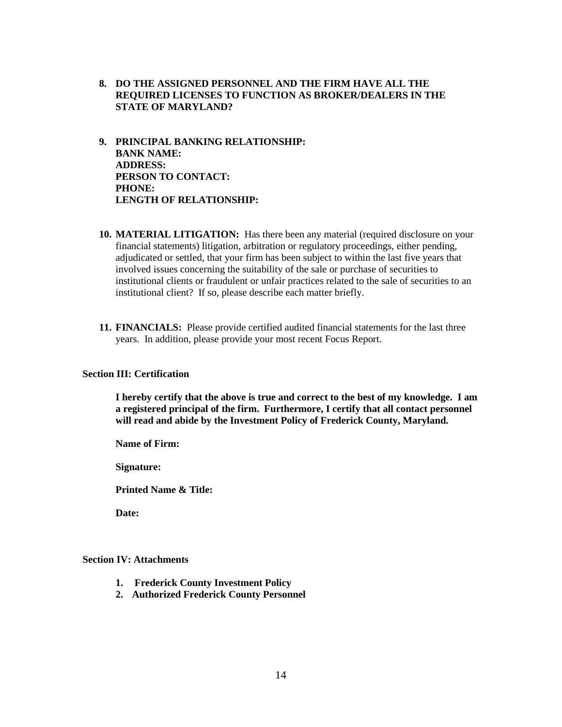- **8. DO THE ASSIGNED PERSONNEL AND THE FIRM HAVE ALL THE REQUIRED LICENSES TO FUNCTION AS BROKER/DEALERS IN THE STATE OF MARYLAND?**
- **9. PRINCIPAL BANKING RELATIONSHIP: BANK NAME: ADDRESS: PERSON TO CONTACT: PHONE: LENGTH OF RELATIONSHIP:**
- **10. MATERIAL LITIGATION:** Has there been any material (required disclosure on your financial statements) litigation, arbitration or regulatory proceedings, either pending, adjudicated or settled, that your firm has been subject to within the last five years that involved issues concerning the suitability of the sale or purchase of securities to institutional clients or fraudulent or unfair practices related to the sale of securities to an institutional client? If so, please describe each matter briefly.
- **11. FINANCIALS:** Please provide certified audited financial statements for the last three years. In addition, please provide your most recent Focus Report.

#### **Section III: Certification**

**I hereby certify that the above is true and correct to the best of my knowledge. I am a registered principal of the firm. Furthermore, I certify that all contact personnel will read and abide by the Investment Policy of Frederick County, Maryland.**

**Name of Firm:**

**Signature:**

**Printed Name & Title:**

**Date:**

### **Section IV: Attachments**

- **1. Frederick County Investment Policy**
- **2. Authorized Frederick County Personnel**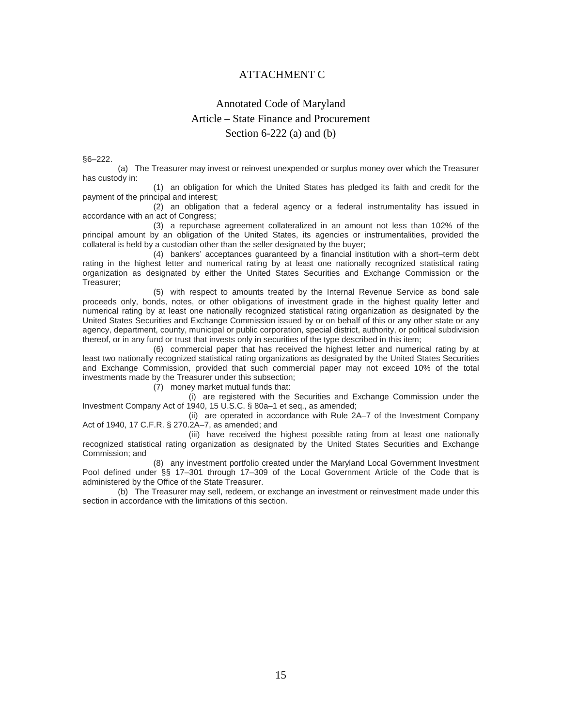## ATTACHMENT C

# Annotated Code of Maryland Article – State Finance and Procurement Section 6-222 (a) and (b)

§6–222.

(a) The Treasurer may invest or reinvest unexpended or surplus money over which the Treasurer has custody in:

(1) an obligation for which the United States has pledged its faith and credit for the payment of the principal and interest;

(2) an obligation that a federal agency or a federal instrumentality has issued in accordance with an act of Congress;

(3) a repurchase agreement collateralized in an amount not less than 102% of the principal amount by an obligation of the United States, its agencies or instrumentalities, provided the collateral is held by a custodian other than the seller designated by the buyer;

(4) bankers' acceptances guaranteed by a financial institution with a short–term debt rating in the highest letter and numerical rating by at least one nationally recognized statistical rating organization as designated by either the United States Securities and Exchange Commission or the Treasurer;

(5) with respect to amounts treated by the Internal Revenue Service as bond sale proceeds only, bonds, notes, or other obligations of investment grade in the highest quality letter and numerical rating by at least one nationally recognized statistical rating organization as designated by the United States Securities and Exchange Commission issued by or on behalf of this or any other state or any agency, department, county, municipal or public corporation, special district, authority, or political subdivision thereof, or in any fund or trust that invests only in securities of the type described in this item;

(6) commercial paper that has received the highest letter and numerical rating by at least two nationally recognized statistical rating organizations as designated by the United States Securities and Exchange Commission, provided that such commercial paper may not exceed 10% of the total investments made by the Treasurer under this subsection;

(7) money market mutual funds that:

(i) are registered with the Securities and Exchange Commission under the Investment Company Act of 1940, 15 U.S.C. § 80a–1 et seq., as amended;

(ii) are operated in accordance with Rule 2A–7 of the Investment Company Act of 1940, 17 C.F.R. § 270.2A–7, as amended; and

(iii) have received the highest possible rating from at least one nationally recognized statistical rating organization as designated by the United States Securities and Exchange Commission; and

(8) any investment portfolio created under the Maryland Local Government Investment Pool defined under §§ 17–301 through 17–309 of the Local Government Article of the Code that is administered by the Office of the State Treasurer.

(b) The Treasurer may sell, redeem, or exchange an investment or reinvestment made under this section in accordance with the limitations of this section.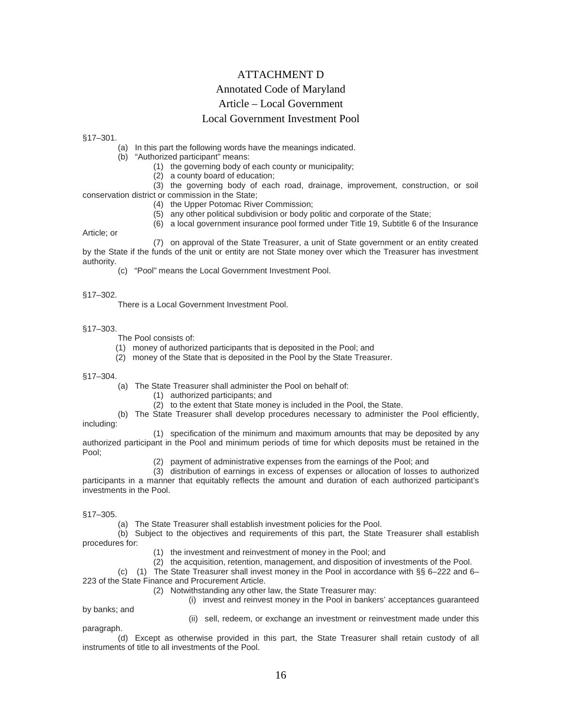## ATTACHMENT D

### Annotated Code of Maryland

### Article – Local Government

### Local Government Investment Pool

§17–301.

- (a) In this part the following words have the meanings indicated.
- (b) "Authorized participant" means:
	- (1) the governing body of each county or municipality;
	- (2) a county board of education;

(3) the governing body of each road, drainage, improvement, construction, or soil conservation district or commission in the State;

- (4) the Upper Potomac River Commission;
- (5) any other political subdivision or body politic and corporate of the State;
- (6) a local government insurance pool formed under Title 19, Subtitle 6 of the Insurance

Article; or

(7) on approval of the State Treasurer, a unit of State government or an entity created by the State if the funds of the unit or entity are not State money over which the Treasurer has investment authority.

(c) "Pool" means the Local Government Investment Pool.

#### §17–302.

There is a Local Government Investment Pool.

#### §17–303.

The Pool consists of:

- (1) money of authorized participants that is deposited in the Pool; and
- (2) money of the State that is deposited in the Pool by the State Treasurer.

#### §17–304.

- (a) The State Treasurer shall administer the Pool on behalf of:
	- (1) authorized participants; and
	- (2) to the extent that State money is included in the Pool, the State.

(b) The State Treasurer shall develop procedures necessary to administer the Pool efficiently, including:

- (1) specification of the minimum and maximum amounts that may be deposited by any authorized participant in the Pool and minimum periods of time for which deposits must be retained in the Pool;
	- (2) payment of administrative expenses from the earnings of the Pool; and

(3) distribution of earnings in excess of expenses or allocation of losses to authorized participants in a manner that equitably reflects the amount and duration of each authorized participant's investments in the Pool.

#### §17–305.

(a) The State Treasurer shall establish investment policies for the Pool.

(b) Subject to the objectives and requirements of this part, the State Treasurer shall establish procedures for:

(1) the investment and reinvestment of money in the Pool; and

 $(2)$  the acquisition, retention, management, and disposition of investments of the Pool.

(c) (1) The State Treasurer shall invest money in the Pool in accordance with §§ 6–222 and 6– 223 of the State Finance and Procurement Article.

(2) Notwithstanding any other law, the State Treasurer may:

(i) invest and reinvest money in the Pool in bankers' acceptances guaranteed

by banks; and

(ii) sell, redeem, or exchange an investment or reinvestment made under this paragraph.

(d) Except as otherwise provided in this part, the State Treasurer shall retain custody of all instruments of title to all investments of the Pool.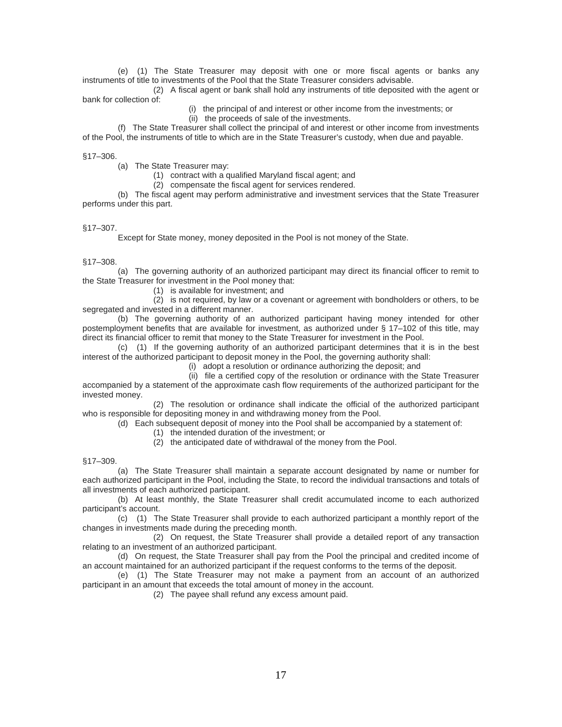(e) (1) The State Treasurer may deposit with one or more fiscal agents or banks any instruments of title to investments of the Pool that the State Treasurer considers advisable.

(2) A fiscal agent or bank shall hold any instruments of title deposited with the agent or bank for collection of:

- (i) the principal of and interest or other income from the investments; or
- (ii) the proceeds of sale of the investments.

(f) The State Treasurer shall collect the principal of and interest or other income from investments of the Pool, the instruments of title to which are in the State Treasurer's custody, when due and payable.

#### §17–306.

(a) The State Treasurer may:

(1) contract with a qualified Maryland fiscal agent; and

(2) compensate the fiscal agent for services rendered.

(b) The fiscal agent may perform administrative and investment services that the State Treasurer performs under this part.

#### §17–307.

Except for State money, money deposited in the Pool is not money of the State.

#### §17–308.

(a) The governing authority of an authorized participant may direct its financial officer to remit to the State Treasurer for investment in the Pool money that:

(1) is available for investment; and

(2) is not required, by law or a covenant or agreement with bondholders or others, to be segregated and invested in a different manner.

(b) The governing authority of an authorized participant having money intended for other postemployment benefits that are available for investment, as authorized under § 17–102 of this title, may direct its financial officer to remit that money to the State Treasurer for investment in the Pool.

(c) (1) If the governing authority of an authorized participant determines that it is in the best interest of the authorized participant to deposit money in the Pool, the governing authority shall:

(i) adopt a resolution or ordinance authorizing the deposit; and

(ii) file a certified copy of the resolution or ordinance with the State Treasurer accompanied by a statement of the approximate cash flow requirements of the authorized participant for the invested money.

(2) The resolution or ordinance shall indicate the official of the authorized participant who is responsible for depositing money in and withdrawing money from the Pool.

(d) Each subsequent deposit of money into the Pool shall be accompanied by a statement of:

(1) the intended duration of the investment; or

(2) the anticipated date of withdrawal of the money from the Pool.

§17–309.

(a) The State Treasurer shall maintain a separate account designated by name or number for each authorized participant in the Pool, including the State, to record the individual transactions and totals of all investments of each authorized participant.

(b) At least monthly, the State Treasurer shall credit accumulated income to each authorized participant's account.

(c) (1) The State Treasurer shall provide to each authorized participant a monthly report of the changes in investments made during the preceding month.

(2) On request, the State Treasurer shall provide a detailed report of any transaction relating to an investment of an authorized participant.

(d) On request, the State Treasurer shall pay from the Pool the principal and credited income of an account maintained for an authorized participant if the request conforms to the terms of the deposit.

(e) (1) The State Treasurer may not make a payment from an account of an authorized participant in an amount that exceeds the total amount of money in the account.

(2) The payee shall refund any excess amount paid.